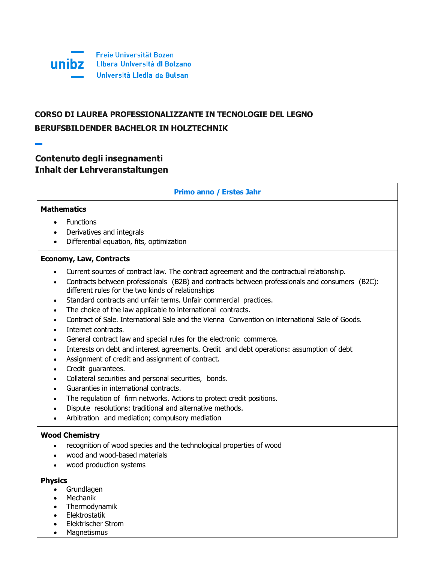

# **CORSO DI LAUREA PROFESSIONALIZZANTE IN TECNOLOGIE DEL LEGNO BERUFSBILDENDER BACHELOR IN HOLZTECHNIK**

## **Contenuto degli insegnamenti Inhalt der Lehrveranstaltungen**

## **Primo anno / Erstes Jahr**

## **Mathematics**

- Functions
- Derivatives and integrals
- Differential equation, fits, optimization

#### **Economy, Law, Contracts**

- Current sources of contract law. The contract agreement and the contractual relationship.
- Contracts between professionals (B2B) and contracts between professionals and consumers (B2C): different rules for the two kinds of relationships
- Standard contracts and unfair terms. Unfair commercial practices.
- The choice of the law applicable to international contracts.
- Contract of Sale. International Sale and the Vienna Convention on international Sale of Goods.
- Internet contracts.
- General contract law and special rules for the electronic commerce.
- Interests on debt and interest agreements. Credit and debt operations: assumption of debt
- Assignment of credit and assignment of contract.
- Credit guarantees.
- Collateral securities and personal securities, bonds.
- Guaranties in international contracts.
- The regulation of firm networks. Actions to protect credit positions.
- Dispute resolutions: traditional and alternative methods.
- Arbitration and mediation; compulsory mediation

#### **Wood Chemistry**

- recognition of wood species and the technological properties of wood
- wood and wood-based materials
- wood production systems

#### **Physics**

- Grundlagen
- Mechanik
- Thermodynamik
- Elektrostatik
- Elektrischer Strom
- Magnetismus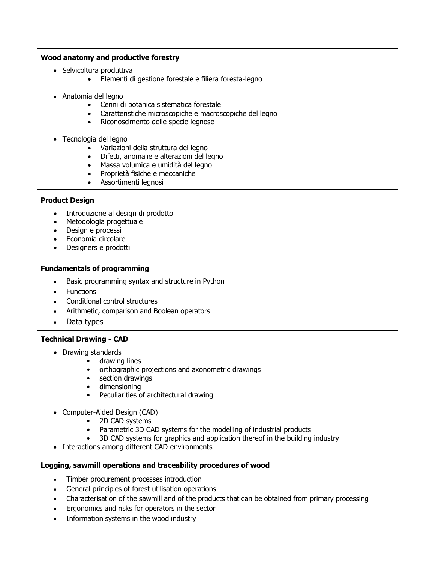## **Wood anatomy and productive forestry**

- Selvicoltura produttiva
	- Elementi di gestione forestale e filiera foresta-legno
- Anatomia del legno
	- Cenni di botanica sistematica forestale
	- Caratteristiche microscopiche e macroscopiche del legno
	- Riconoscimento delle specie legnose
- Tecnologia del legno
	- Variazioni della struttura del legno
	- Difetti, anomalie e alterazioni del legno
	- Massa volumica e umidità del legno
	- Proprietà fisiche e meccaniche
	- Assortimenti legnosi

## **Product Design**

- Introduzione al design di prodotto
- Metodologia progettuale
- Design e processi
- Economia circolare
- Designers e prodotti

#### **Fundamentals of programming**

- Basic programming syntax and structure in Python
- **Functions**
- Conditional control structures
- Arithmetic, comparison and Boolean operators
- Data types

## **Technical Drawing - CAD**

- Drawing standards
	- drawing lines
	- orthographic projections and axonometric drawings
	- section drawings
	- dimensioning
	- Peculiarities of architectural drawing
- Computer-Aided Design (CAD)
	- 2D CAD systems
	- Parametric 3D CAD systems for the modelling of industrial products
	- 3D CAD systems for graphics and application thereof in the building industry
- Interactions among different CAD environments

## **Logging, sawmill operations and traceability procedures of wood**

- Timber procurement processes introduction
- General principles of forest utilisation operations
- Characterisation of the sawmill and of the products that can be obtained from primary processing
- Ergonomics and risks for operators in the sector
- Information systems in the wood industry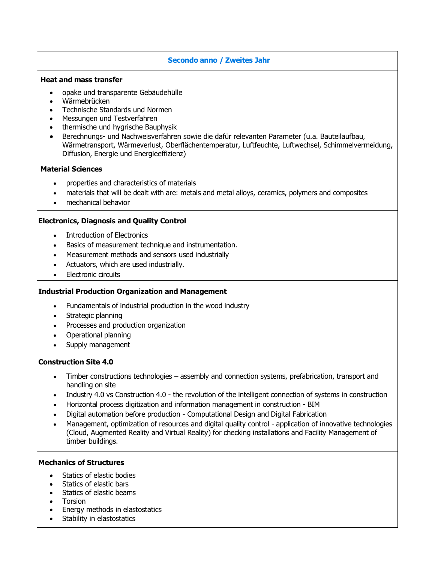## **Secondo anno / Zweites Jahr**

#### **Heat and mass transfer**

- opake und transparente Gebäudehülle
- Wärmebrücken
- Technische Standards und Normen
- Messungen und Testverfahren
- thermische und hygrische Bauphysik
- Berechnungs- und Nachweisverfahren sowie die dafür relevanten Parameter (u.a. Bauteilaufbau, Wärmetransport, Wärmeverlust, Oberflächentemperatur, Luftfeuchte, Luftwechsel, Schimmelvermeidung, Diffusion, Energie und Energieeffizienz)

#### **Material Sciences**

- properties and characteristics of materials
- materials that will be dealt with are: metals and metal alloys, ceramics, polymers and composites
- mechanical behavior

#### **Electronics, Diagnosis and Quality Control**

- Introduction of Electronics
- Basics of measurement technique and instrumentation.
- Measurement methods and sensors used industrially
- Actuators, which are used industrially.
- Electronic circuits

#### **Industrial Production Organization and Management**

- Fundamentals of industrial production in the wood industry
- Strategic planning
- Processes and production organization
- Operational planning
- Supply management

#### **Construction Site 4.0**

- Timber constructions technologies assembly and connection systems, prefabrication, transport and handling on site
- Industry 4.0 vs Construction 4.0 the revolution of the intelligent connection of systems in construction
- Horizontal process digitization and information management in construction BIM
- Digital automation before production Computational Design and Digital Fabrication
- Management, optimization of resources and digital quality control application of innovative technologies (Cloud, Augmented Reality and Virtual Reality) for checking installations and Facility Management of timber buildings.

#### **Mechanics of Structures**

- Statics of elastic bodies
- Statics of elastic bars
- Statics of elastic beams
- Torsion
- Energy methods in elastostatics
- Stability in elastostatics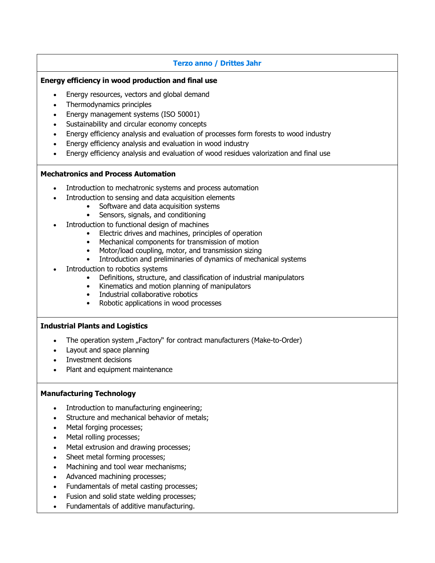## **Terzo anno / Drittes Jahr**

#### **Energy efficiency in wood production and final use**

- Energy resources, vectors and global demand
- Thermodynamics principles
- Energy management systems (ISO 50001)
- Sustainability and circular economy concepts
- Energy efficiency analysis and evaluation of processes form forests to wood industry
- Energy efficiency analysis and evaluation in wood industry
- Energy efficiency analysis and evaluation of wood residues valorization and final use

#### **Mechatronics and Process Automation**

- Introduction to mechatronic systems and process automation
- Introduction to sensing and data acquisition elements
	- Software and data acquisition systems
	- Sensors, signals, and conditioning
- Introduction to functional design of machines
	- Electric drives and machines, principles of operation
	- Mechanical components for transmission of motion
	- Motor/load coupling, motor, and transmission sizing
	- Introduction and preliminaries of dynamics of mechanical systems
- Introduction to robotics systems
	- Definitions, structure, and classification of industrial manipulators
	- Kinematics and motion planning of manipulators
	- Industrial collaborative robotics
	- Robotic applications in wood processes

#### **Industrial Plants and Logistics**

- The operation system "Factory" for contract manufacturers (Make-to-Order)
- Layout and space planning
- Investment decisions
- Plant and equipment maintenance

#### **Manufacturing Technology**

- Introduction to manufacturing engineering;
- Structure and mechanical behavior of metals;
- Metal forging processes;
- Metal rolling processes;
- Metal extrusion and drawing processes;
- Sheet metal forming processes;
- Machining and tool wear mechanisms;
- Advanced machining processes;
- Fundamentals of metal casting processes;
- Fusion and solid state welding processes;
- Fundamentals of additive manufacturing.